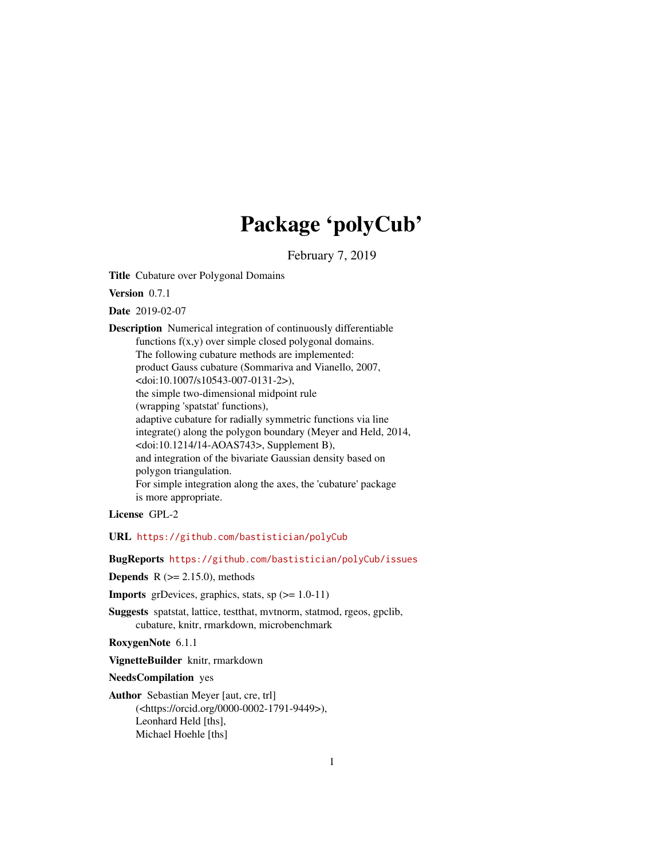# Package 'polyCub'

February 7, 2019

<span id="page-0-0"></span>Title Cubature over Polygonal Domains

Version 0.7.1

Date 2019-02-07

Description Numerical integration of continuously differentiable functions f(x,y) over simple closed polygonal domains. The following cubature methods are implemented: product Gauss cubature (Sommariva and Vianello, 2007, <doi:10.1007/s10543-007-0131-2>), the simple two-dimensional midpoint rule (wrapping 'spatstat' functions), adaptive cubature for radially symmetric functions via line integrate() along the polygon boundary (Meyer and Held, 2014, <doi:10.1214/14-AOAS743>, Supplement B), and integration of the bivariate Gaussian density based on polygon triangulation. For simple integration along the axes, the 'cubature' package is more appropriate.

License GPL-2

URL <https://github.com/bastistician/polyCub>

BugReports <https://github.com/bastistician/polyCub/issues>

**Depends**  $R$  ( $>= 2.15.0$ ), methods

**Imports** grDevices, graphics, stats, sp  $(>= 1.0-11)$ 

Suggests spatstat, lattice, testthat, mvtnorm, statmod, rgeos, gpclib, cubature, knitr, rmarkdown, microbenchmark

RoxygenNote 6.1.1

VignetteBuilder knitr, rmarkdown

NeedsCompilation yes

Author Sebastian Meyer [aut, cre, trl] (<https://orcid.org/0000-0002-1791-9449>), Leonhard Held [ths], Michael Hoehle [ths]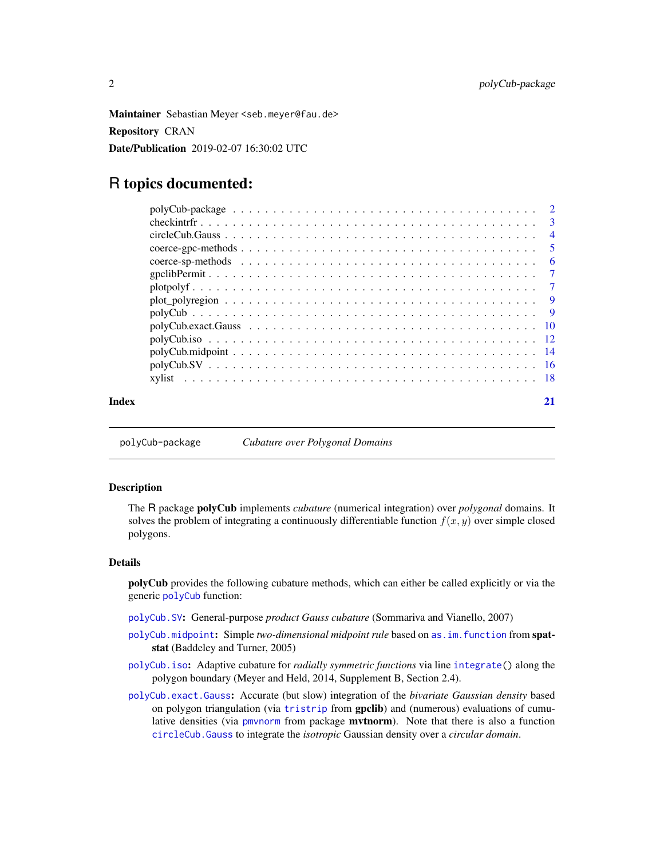<span id="page-1-0"></span>Maintainer Sebastian Meyer <seb.meyer@fau.de> Repository CRAN Date/Publication 2019-02-07 16:30:02 UTC

# R topics documented:

| Index |  |
|-------|--|

<span id="page-1-1"></span>polyCub-package *Cubature over Polygonal Domains*

#### Description

The R package polyCub implements *cubature* (numerical integration) over *polygonal* domains. It solves the problem of integrating a continuously differentiable function  $f(x, y)$  over simple closed polygons.

#### Details

polyCub provides the following cubature methods, which can either be called explicitly or via the generic [polyCub](#page-8-1) function:

- [polyCub.SV](#page-15-1): General-purpose *product Gauss cubature* (Sommariva and Vianello, 2007)
- [polyCub.midpoint](#page-13-1): Simple *two-dimensional midpoint rule* based on [as.im.function](#page-0-0) from spatstat (Baddeley and Turner, 2005)
- [polyCub.iso](#page-11-1): Adaptive cubature for *radially symmetric functions* via line [integrate\(](#page-0-0)) along the polygon boundary (Meyer and Held, 2014, Supplement B, Section 2.4).
- [polyCub.exact.Gauss](#page-9-1): Accurate (but slow) integration of the *bivariate Gaussian density* based on polygon triangulation (via [tristrip](#page-0-0) from gpclib) and (numerous) evaluations of cumulative densities (via [pmvnorm](#page-0-0) from package mvtnorm). Note that there is also a function [circleCub.Gauss](#page-3-1) to integrate the *isotropic* Gaussian density over a *circular domain*.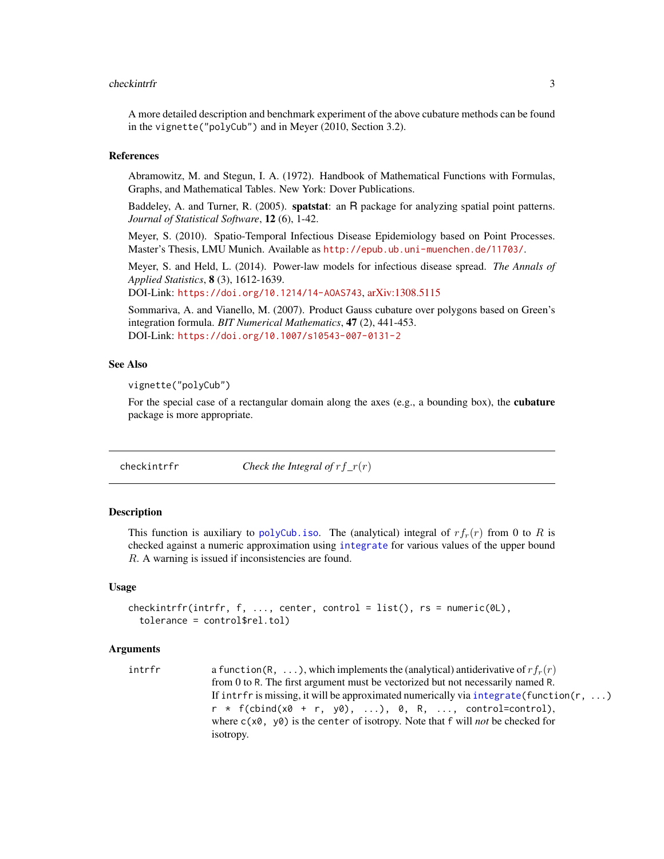#### <span id="page-2-0"></span>checkintrfr 3

A more detailed description and benchmark experiment of the above cubature methods can be found in the vignette("polyCub") and in Meyer (2010, Section 3.2).

#### References

Abramowitz, M. and Stegun, I. A. (1972). Handbook of Mathematical Functions with Formulas, Graphs, and Mathematical Tables. New York: Dover Publications.

Baddeley, A. and Turner, R. (2005). spatstat: an R package for analyzing spatial point patterns. *Journal of Statistical Software*, 12 (6), 1-42.

Meyer, S. (2010). Spatio-Temporal Infectious Disease Epidemiology based on Point Processes. Master's Thesis, LMU Munich. Available as <http://epub.ub.uni-muenchen.de/11703/>.

Meyer, S. and Held, L. (2014). Power-law models for infectious disease spread. *The Annals of Applied Statistics*, 8 (3), 1612-1639.

DOI-Link: <https://doi.org/10.1214/14-AOAS743>, [arXiv:1308.5115](https://arxiv.org/abs/1308.5115)

Sommariva, A. and Vianello, M. (2007). Product Gauss cubature over polygons based on Green's integration formula. *BIT Numerical Mathematics*, 47 (2), 441-453. DOI-Link: <https://doi.org/10.1007/s10543-007-0131-2>

#### See Also

vignette("polyCub")

For the special case of a rectangular domain along the axes (e.g., a bounding box), the **cubature** package is more appropriate.

checkintrfr *Check the Integral of* rf*\_*r(r)

#### Description

This function is auxiliary to [polyCub.iso](#page-11-1). The (analytical) integral of  $rf<sub>r</sub>(r)$  from 0 to R is checked against a numeric approximation using [integrate](#page-0-0) for various values of the upper bound R. A warning is issued if inconsistencies are found.

#### Usage

```
checkintrfr(intrfr, f, ..., center, control = list(), rs = numeric(0L),
  tolerance = control$rel.tol)
```
#### Arguments

intrfr a function(R, ...), which implements the (analytical) antiderivative of  $rf_r(r)$ from 0 to R. The first argument must be vectorized but not necessarily named R. If intrfr is missing, it will be approximated numerically via [integrate\(](#page-0-0)function( $r, \ldots$ )  $r * f(clind(x0 + r, y0), ...), 0, R, ...$ , control=control), where c(x0, y0) is the center of isotropy. Note that f will *not* be checked for isotropy.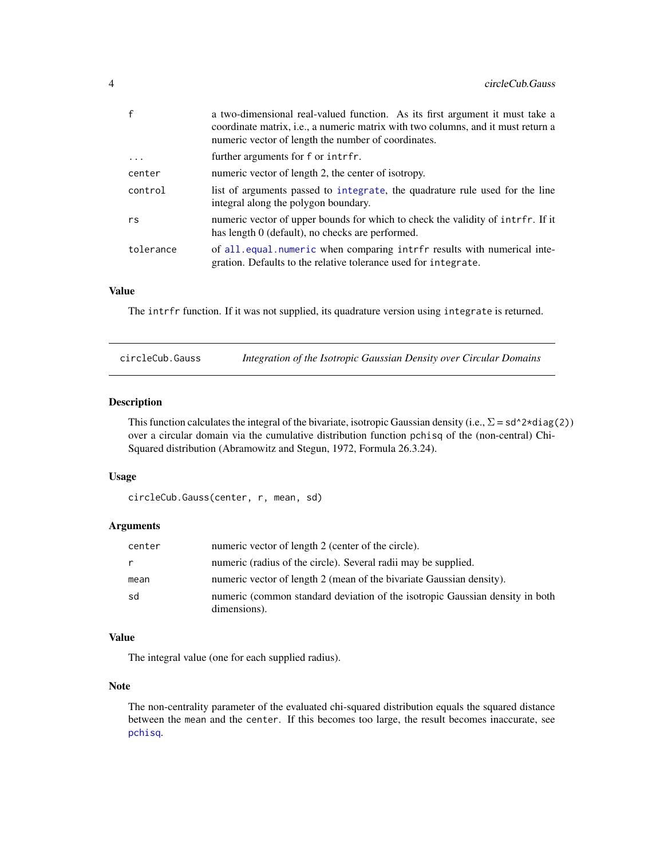<span id="page-3-0"></span>

| $\mathsf{f}$ | a two-dimensional real-valued function. As its first argument it must take a<br>coordinate matrix, <i>i.e.</i> , a numeric matrix with two columns, and it must return a<br>numeric vector of length the number of coordinates. |
|--------------|---------------------------------------------------------------------------------------------------------------------------------------------------------------------------------------------------------------------------------|
| $\ddots$ .   | further arguments for f or intrfr.                                                                                                                                                                                              |
| center       | numeric vector of length 2, the center of isotropy.                                                                                                                                                                             |
| control      | list of arguments passed to integrate, the quadrature rule used for the line<br>integral along the polygon boundary.                                                                                                            |
| rs           | numeric vector of upper bounds for which to check the validity of intrfr. If it<br>has length 0 (default), no checks are performed.                                                                                             |
| tolerance    | of all equal numeric when comparing intrfr results with numerical inte-<br>gration. Defaults to the relative tolerance used for integrate.                                                                                      |

The intrfr function. If it was not supplied, its quadrature version using integrate is returned.

<span id="page-3-1"></span>

| circleCub.Gauss |  |  | Integration of the Isotropic Gaussian Density over Circular Domains |
|-----------------|--|--|---------------------------------------------------------------------|
|                 |  |  |                                                                     |

#### Description

This function calculates the integral of the bivariate, isotropic Gaussian density (i.e.,  $\Sigma = sd^{\wedge}2*diag(2)$ ) over a circular domain via the cumulative distribution function pchisq of the (non-central) Chi-Squared distribution (Abramowitz and Stegun, 1972, Formula 26.3.24).

#### Usage

```
circleCub.Gauss(center, r, mean, sd)
```
#### Arguments

| center | numeric vector of length 2 (center of the circle).                                           |
|--------|----------------------------------------------------------------------------------------------|
| r      | numeric (radius of the circle). Several radii may be supplied.                               |
| mean   | numeric vector of length 2 (mean of the bivariate Gaussian density).                         |
| sd     | numeric (common standard deviation of the isotropic Gaussian density in both<br>dimensions). |

#### Value

The integral value (one for each supplied radius).

#### Note

The non-centrality parameter of the evaluated chi-squared distribution equals the squared distance between the mean and the center. If this becomes too large, the result becomes inaccurate, see [pchisq](#page-0-0).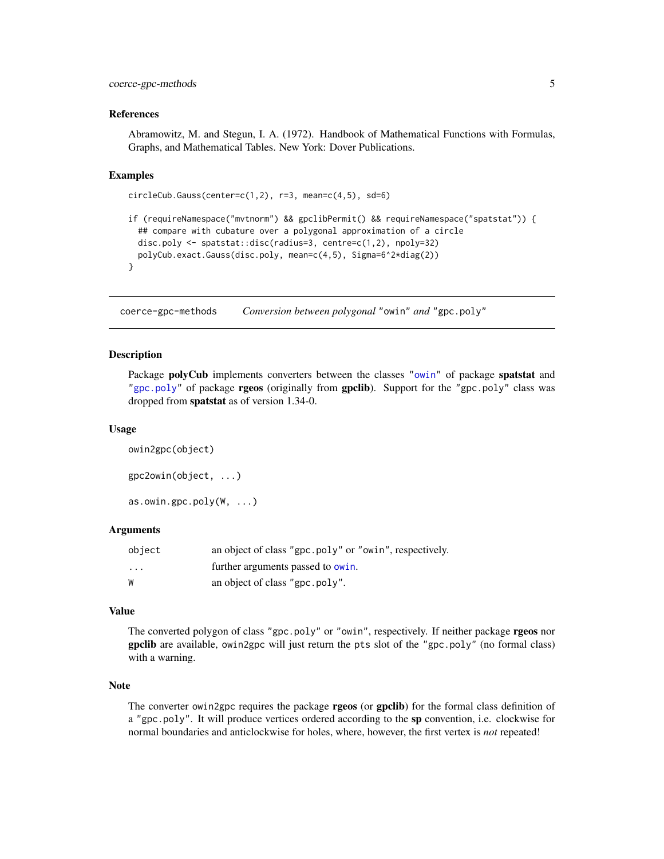#### <span id="page-4-0"></span>coerce-gpc-methods 5

#### References

Abramowitz, M. and Stegun, I. A. (1972). Handbook of Mathematical Functions with Formulas, Graphs, and Mathematical Tables. New York: Dover Publications.

#### Examples

```
circleCub.Gauss(center=c(1,2), r=3, mean=c(4,5), sd=6)
if (requireNamespace("mvtnorm") && gpclibPermit() && requireNamespace("spatstat")) {
 ## compare with cubature over a polygonal approximation of a circle
 disc.poly <- spatstat::disc(radius=3, centre=c(1,2), npoly=32)
 polyCub.exact.Gauss(disc.poly, mean=c(4,5), Sigma=6^2*diag(2))
}
```
coerce-gpc-methods *Conversion between polygonal* "owin" *and* "gpc.poly"

#### <span id="page-4-1"></span>**Description**

Package **polyCub** implements converters between the classes ["owin"](#page-0-0) of package **spatstat** and ["gpc.poly"](#page-0-0) of package rgeos (originally from gpclib). Support for the "gpc.poly" class was dropped from spatstat as of version 1.34-0.

#### Usage

```
owin2gpc(object)
gpc2owin(object, ...)
as.owin.gpc.poly(W, ...)
```
#### Arguments

| object   | an object of class "gpc.poly" or "owin", respectively. |
|----------|--------------------------------------------------------|
| $\cdots$ | further arguments passed to owin.                      |
| W        | an object of class "gpc.poly".                         |

#### Value

The converted polygon of class "gpc.poly" or "owin", respectively. If neither package rgeos nor gpclib are available, owin2gpc will just return the pts slot of the "gpc.poly" (no formal class) with a warning.

#### Note

The converter owin2gpc requires the package **rgeos** (or gpclib) for the formal class definition of a "gpc.poly". It will produce vertices ordered according to the sp convention, i.e. clockwise for normal boundaries and anticlockwise for holes, where, however, the first vertex is *not* repeated!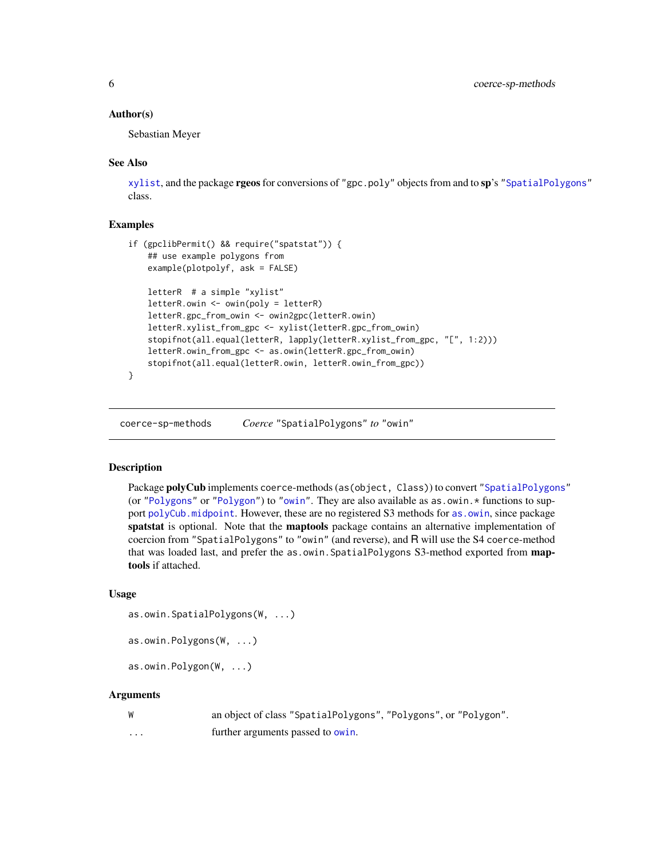#### <span id="page-5-0"></span>Author(s)

Sebastian Meyer

#### See Also

[xylist](#page-17-1), and the package rgeos for conversions of "gpc.poly" objects from and to sp's ["SpatialPolygons"](#page-0-0) class.

#### Examples

```
if (gpclibPermit() && require("spatstat")) {
    ## use example polygons from
    example(plotpolyf, ask = FALSE)
    letterR # a simple "xylist"
    letterR.owin <- owin(poly = letterR)
    letterR.gpc_from_owin <- owin2gpc(letterR.owin)
    letterR.xylist_from_gpc <- xylist(letterR.gpc_from_owin)
    stopifnot(all.equal(letterR, lapply(letterR.xylist_from_gpc, "[", 1:2)))
    letterR.owin_from_gpc <- as.owin(letterR.gpc_from_owin)
    stopifnot(all.equal(letterR.owin, letterR.owin_from_gpc))
}
```
coerce-sp-methods *Coerce* "SpatialPolygons" *to* "owin"

#### <span id="page-5-1"></span>**Description**

Package polyCub implements coerce-methods (as(object, Class)) to convert ["SpatialPolygons"](#page-0-0) (or ["Polygons"](#page-0-0) or ["Polygon"](#page-0-0)) to ["owin"](#page-0-0). They are also available as as.owin.\* functions to support [polyCub.midpoint](#page-13-1). However, these are no registered S3 methods for [as.owin](#page-0-0), since package spatstat is optional. Note that the maptools package contains an alternative implementation of coercion from "SpatialPolygons" to "owin" (and reverse), and R will use the S4 coerce-method that was loaded last, and prefer the as.owin. SpatialPolygons S3-method exported from maptools if attached.

#### Usage

```
as.owin.SpatialPolygons(W, ...)
```

```
as.owin.Polygons(W, ...)
```
as.owin.Polygon(W, ...)

| W | an object of class "SpatialPolygons", "Polygons", or "Polygon". |
|---|-----------------------------------------------------------------|
| . | further arguments passed to owin.                               |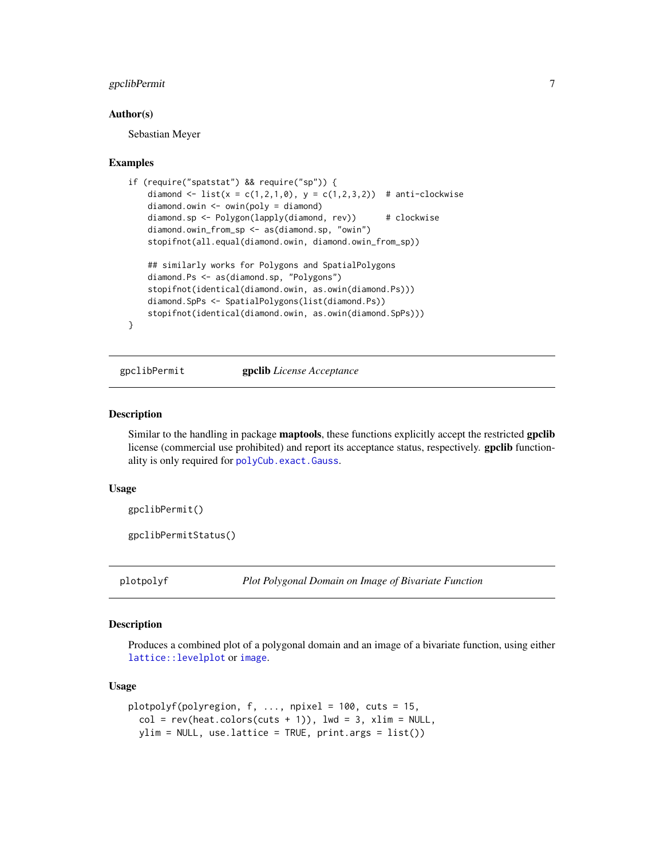#### <span id="page-6-0"></span>gpclibPermit 7

#### Author(s)

Sebastian Meyer

#### Examples

```
if (require("spatstat") && require("sp")) {
    diamond <- list(x = c(1,2,1,0), y = c(1,2,3,2)) # anti-clockwise
    diamond.owin <- owin(poly = diamond)
    diamond.sp <- Polygon(lapply(diamond, rev)) # clockwise
    diamond.owin_from_sp <- as(diamond.sp, "owin")
    stopifnot(all.equal(diamond.owin, diamond.owin_from_sp))
    ## similarly works for Polygons and SpatialPolygons
   diamond.Ps <- as(diamond.sp, "Polygons")
    stopifnot(identical(diamond.owin, as.owin(diamond.Ps)))
    diamond.SpPs <- SpatialPolygons(list(diamond.Ps))
    stopifnot(identical(diamond.owin, as.owin(diamond.SpPs)))
```

```
}
```
<span id="page-6-1"></span>gpclibPermit gpclib *License Acceptance*

#### Description

Similar to the handling in package **maptools**, these functions explicitly accept the restricted gpclib license (commercial use prohibited) and report its acceptance status, respectively. gpclib functionality is only required for [polyCub.exact.Gauss](#page-9-1).

#### Usage

```
gpclibPermit()
```
gpclibPermitStatus()

<span id="page-6-2"></span>

plotpolyf *Plot Polygonal Domain on Image of Bivariate Function*

#### Description

Produces a combined plot of a polygonal domain and an image of a bivariate function, using either [lattice::levelplot](#page-0-0) or [image](#page-0-0).

#### Usage

```
plotpolyf(polyregion, f, ..., npixel = 100, cuts = 15,
  col = rev(head.colors(cuts + 1)), lwd = 3, xlim = NULL,ylim = NULL, use.lattice = TRUE, print.args = list())
```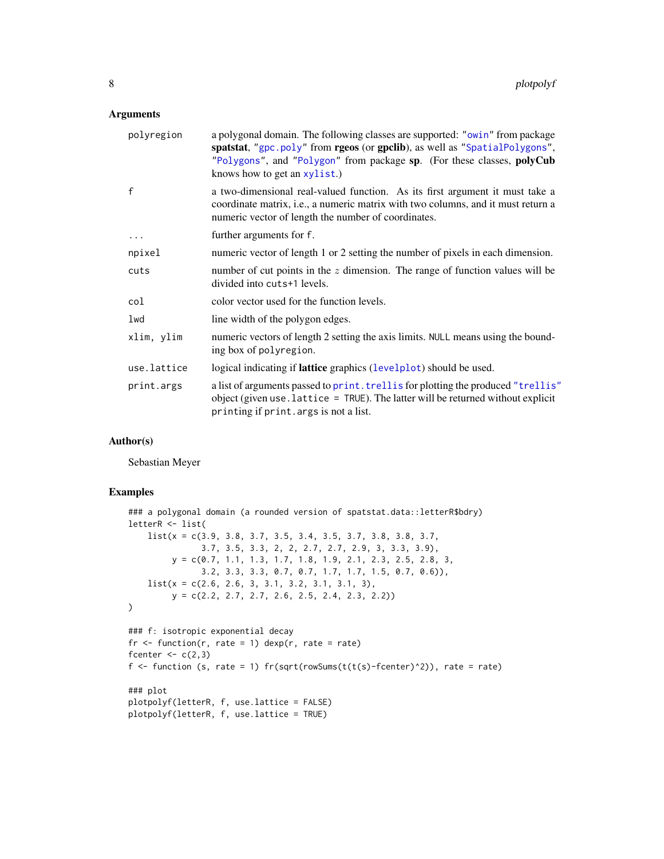#### <span id="page-7-0"></span>Arguments

| polyregion   | a polygonal domain. The following classes are supported: "owin" from package<br>spatstat, "gpc.poly" from rgeos (or gpclib), as well as "SpatialPolygons",<br>"Polygons", and "Polygon" from package sp. (For these classes, polyCub<br>knows how to get an xylist.) |
|--------------|----------------------------------------------------------------------------------------------------------------------------------------------------------------------------------------------------------------------------------------------------------------------|
| $\mathbf{f}$ | a two-dimensional real-valued function. As its first argument it must take a<br>coordinate matrix, <i>i.e.</i> , a numeric matrix with two columns, and it must return a<br>numeric vector of length the number of coordinates.                                      |
| $\cdots$     | further arguments for f.                                                                                                                                                                                                                                             |
| npixel       | numeric vector of length 1 or 2 setting the number of pixels in each dimension.                                                                                                                                                                                      |
| cuts         | number of cut points in the $z$ dimension. The range of function values will be<br>divided into cuts+1 levels.                                                                                                                                                       |
| col          | color vector used for the function levels.                                                                                                                                                                                                                           |
| lwd          | line width of the polygon edges.                                                                                                                                                                                                                                     |
| xlim, ylim   | numeric vectors of length 2 setting the axis limits. NULL means using the bound-<br>ing box of polyregion.                                                                                                                                                           |
| use.lattice  | logical indicating if <b>lattice</b> graphics (levelplot) should be used.                                                                                                                                                                                            |
| print.args   | a list of arguments passed to print. trellis for plotting the produced "trellis"<br>object (given use . lattice = $TRUE$ ). The latter will be returned without explicit<br>printing if print. args is not a list.                                                   |

### Author(s)

Sebastian Meyer

#### Examples

```
### a polygonal domain (a rounded version of spatstat.data::letterR$bdry)
letterR <- list(
   list(x = c(3.9, 3.8, 3.7, 3.5, 3.4, 3.5, 3.7, 3.8, 3.8, 3.7,
               3.7, 3.5, 3.3, 2, 2, 2.7, 2.7, 2.9, 3, 3.3, 3.9),
        y = c(0.7, 1.1, 1.3, 1.7, 1.8, 1.9, 2.1, 2.3, 2.5, 2.8, 3,
               3.2, 3.3, 3.3, 0.7, 0.7, 1.7, 1.7, 1.5, 0.7, 0.6)),
   list(x = c(2.6, 2.6, 3, 3.1, 3.2, 3.1, 3.1, 3),y = c(2.2, 2.7, 2.7, 2.6, 2.5, 2.4, 2.3, 2.2))
)
### f: isotropic exponential decay
fr \le function(r, rate = 1) dexp(r, rate = rate)
fcenter <-c(2,3)f \le function (s, rate = 1) fr(sqrt(rowSums(t(t(s)-fcenter)^2)), rate = rate)
### plot
plotpolyf(letterR, f, use.lattice = FALSE)
plotpolyf(letterR, f, use.lattice = TRUE)
```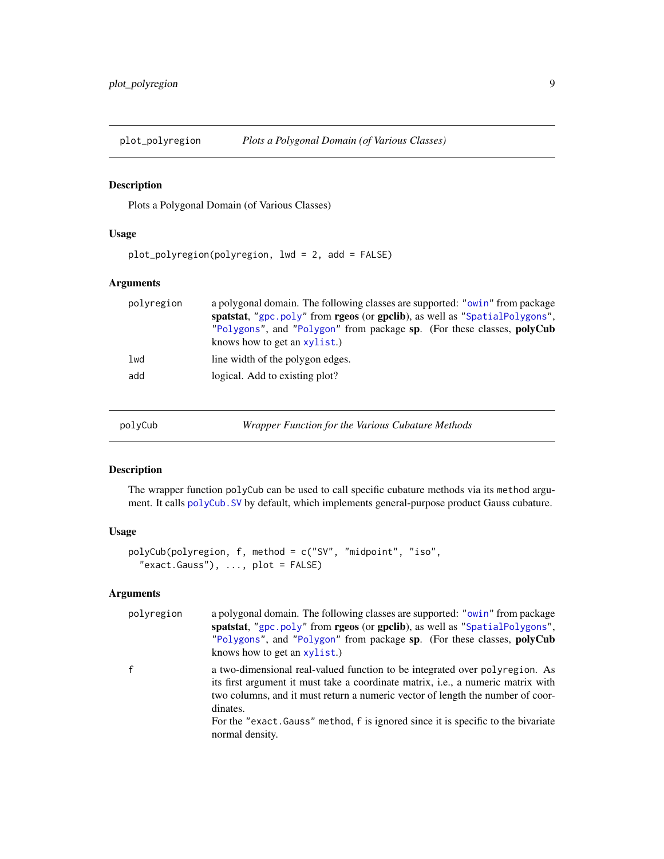<span id="page-8-0"></span>

#### Description

Plots a Polygonal Domain (of Various Classes)

#### Usage

plot\_polyregion(polyregion, lwd = 2, add = FALSE)

#### Arguments

| polyregion | a polygonal domain. The following classes are supported: "owin" from package |
|------------|------------------------------------------------------------------------------|
|            | spatstat, "gpc.poly" from rgeos (or gpclib), as well as "SpatialPolygons",   |
|            | "Polygons", and "Polygon" from package sp. (For these classes, polyCub       |
|            | knows how to get an $xylist.$ )                                              |
| lwd        | line width of the polygon edges.                                             |
| add        | logical. Add to existing plot?                                               |
|            |                                                                              |
|            |                                                                              |

<span id="page-8-1"></span>polyCub *Wrapper Function for the Various Cubature Methods*

#### Description

The wrapper function polyCub can be used to call specific cubature methods via its method argument. It calls [polyCub.SV](#page-15-1) by default, which implements general-purpose product Gauss cubature.

#### Usage

```
polyCub(polyregion, f, method = c("SV", "midpoint", "iso",
  "exact.Gauss"), ..., plot = FALSE)
```

| polyregion | a polygonal domain. The following classes are supported: "owin" from package<br>spatstat, "gpc.poly" from rgeos (or gpclib), as well as "SpatialPolygons",<br>"Polygons", and "Polygon" from package sp. (For these classes, polyCub                                  |
|------------|-----------------------------------------------------------------------------------------------------------------------------------------------------------------------------------------------------------------------------------------------------------------------|
|            | knows how to get an xylist.)                                                                                                                                                                                                                                          |
|            | a two-dimensional real-valued function to be integrated over polyregion. As<br>its first argument it must take a coordinate matrix, <i>i.e.</i> , a numeric matrix with<br>two columns, and it must return a numeric vector of length the number of coor-<br>dinates. |
|            | For the "exact. Gauss" method, f is ignored since it is specific to the bivariate<br>normal density.                                                                                                                                                                  |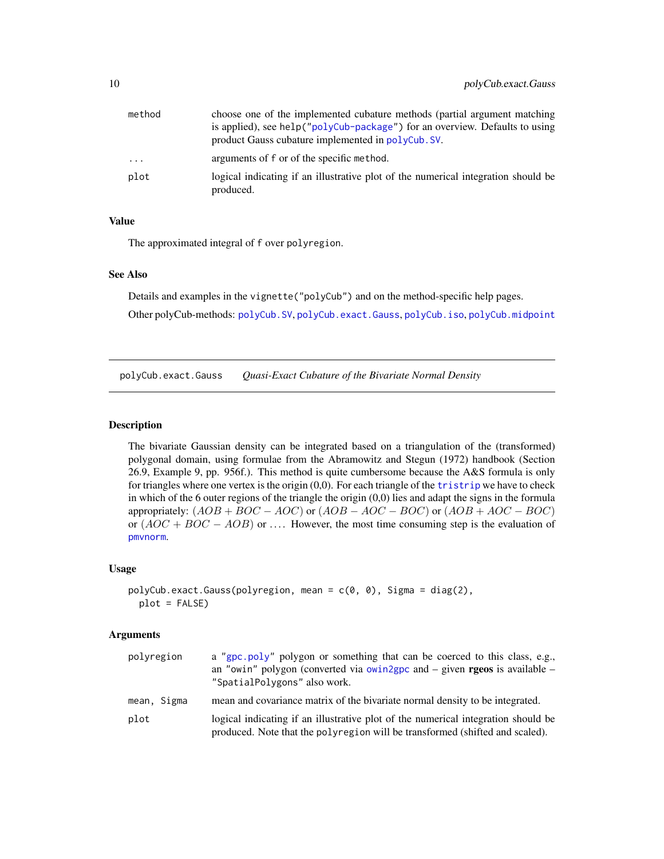<span id="page-9-0"></span>

| method | choose one of the implemented cubature methods (partial argument matching)                     |
|--------|------------------------------------------------------------------------------------------------|
|        | is applied), see help ("polyCub-package") for an overview. Defaults to using                   |
|        | product Gauss cubature implemented in polyCub. SV.                                             |
| .      | arguments of f or of the specific method.                                                      |
| plot   | logical indicating if an illustrative plot of the numerical integration should be<br>produced. |

The approximated integral of f over polyregion.

#### See Also

Details and examples in the vignette("polyCub") and on the method-specific help pages.

Other polyCub-methods: [polyCub.SV](#page-15-1), [polyCub.exact.Gauss](#page-9-1), [polyCub.iso](#page-11-1), [polyCub.midpoint](#page-13-1)

<span id="page-9-1"></span>polyCub.exact.Gauss *Quasi-Exact Cubature of the Bivariate Normal Density*

#### Description

The bivariate Gaussian density can be integrated based on a triangulation of the (transformed) polygonal domain, using formulae from the Abramowitz and Stegun (1972) handbook (Section 26.9, Example 9, pp. 956f.). This method is quite cumbersome because the A&S formula is only for triangles where one vertex is the origin (0,0). For each triangle of the [tristrip](#page-0-0) we have to check in which of the 6 outer regions of the triangle the origin  $(0,0)$  lies and adapt the signs in the formula appropriately:  $(AOB + BOC - AOC)$  or  $(AOB - AOC - BOC)$  or  $(AOB + AOC - BOC)$ or  $(AOC + BOC - AOB)$  or .... However, the most time consuming step is the evaluation of [pmvnorm](#page-0-0).

#### Usage

```
polyCub.exact.Gauss(polyregion, mean = c(0, 0), Sigma = diag(2),
 plot = FALSE)
```

| polyregion  | a "gpc.poly" polygon or something that can be coerced to this class, e.g.,<br>an "owin" polygon (converted via owin2gpc and $-$ given <b>rgeos</b> is available $-$<br>"SpatialPolygons" also work. |
|-------------|-----------------------------------------------------------------------------------------------------------------------------------------------------------------------------------------------------|
| mean, Sigma | mean and covariance matrix of the bivariate normal density to be integrated.                                                                                                                        |
| plot        | logical indicating if an illustrative plot of the numerical integration should be<br>produced. Note that the polyregion will be transformed (shifted and scaled).                                   |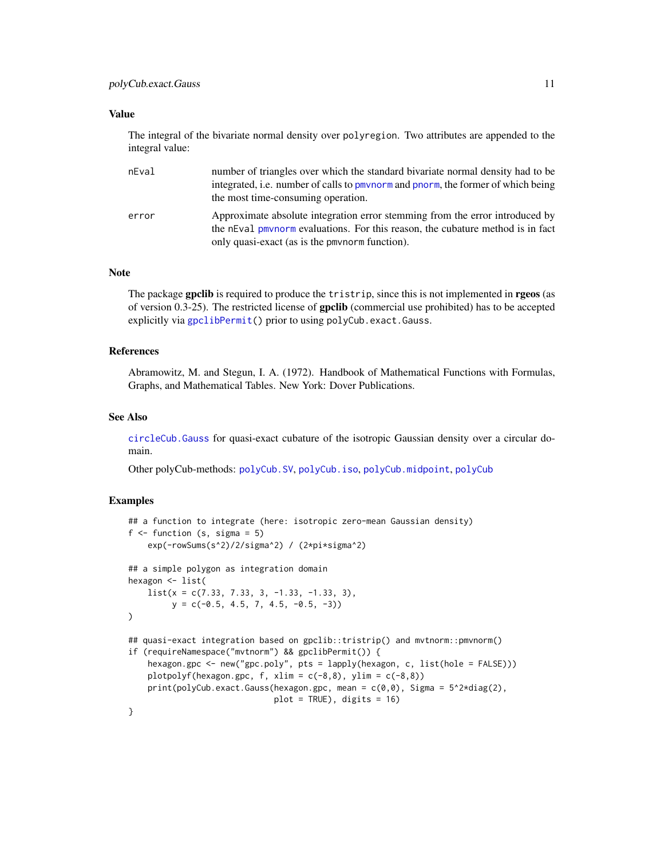<span id="page-10-0"></span>The integral of the bivariate normal density over polyregion. Two attributes are appended to the integral value:

| nEval | number of triangles over which the standard bivariate normal density had to be<br>integrated, i.e. number of calls to pmynorm and pnorm, the former of which being<br>the most time-consuming operation.         |
|-------|------------------------------------------------------------------------------------------------------------------------------------------------------------------------------------------------------------------|
| error | Approximate absolute integration error stemming from the error introduced by<br>the nEval pmynorm evaluations. For this reason, the cubature method is in fact<br>only quasi-exact (as is the pmynorm function). |

#### Note

The package gpclib is required to produce the tristrip, since this is not implemented in rgeos (as of version 0.3-25). The restricted license of gpclib (commercial use prohibited) has to be accepted explicitly via [gpclibPermit\(](#page-6-1)) prior to using polyCub.exact.Gauss.

### References

Abramowitz, M. and Stegun, I. A. (1972). Handbook of Mathematical Functions with Formulas, Graphs, and Mathematical Tables. New York: Dover Publications.

#### See Also

[circleCub.Gauss](#page-3-1) for quasi-exact cubature of the isotropic Gaussian density over a circular domain.

Other polyCub-methods: [polyCub.SV](#page-15-1), [polyCub.iso](#page-11-1), [polyCub.midpoint](#page-13-1), [polyCub](#page-8-1)

#### Examples

```
## a function to integrate (here: isotropic zero-mean Gaussian density)
f \leftarrow function (s, sigma = 5)
    exp(-rowSums(s^2)/2/sigma^2) / (2*pi*sigma^2)
## a simple polygon as integration domain
hexagon <- list(
    list(x = c(7.33, 7.33, 3, -1.33, -1.33, 3),y = c(-0.5, 4.5, 7, 4.5, -0.5, -3)\lambda## quasi-exact integration based on gpclib::tristrip() and mvtnorm::pmvnorm()
if (requireNamespace("mvtnorm") && gpclibPermit()) {
    hexagon.gpc <- new("gpc.poly", pts = lapply(hexagon, c, list(hole = FALSE)))
    plotpolyf(hexagon.gpc, f, xlim = c(-8,8), ylim = c(-8,8))
    print(polyCub.exact.Gauss(hexagon.gpc, mean = c(0,0), Sigma = 5^2*diag(2),
                              plot = TRUE), digits = 16)
}
```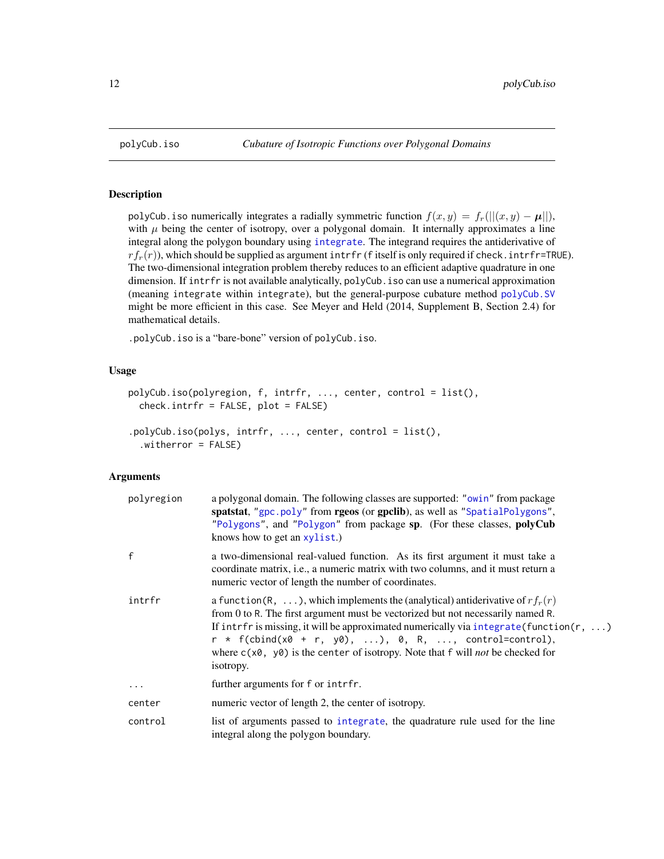#### Description

polyCub. iso numerically integrates a radially symmetric function  $f(x, y) = f_r(||(x, y) - \mu||)$ , with  $\mu$  being the center of isotropy, over a polygonal domain. It internally approximates a line integral along the polygon boundary using [integrate](#page-0-0). The integrand requires the antiderivative of  $rf_r(r)$ , which should be supplied as argument intrfr (f itself is only required if check. intrfr=TRUE). The two-dimensional integration problem thereby reduces to an efficient adaptive quadrature in one dimension. If intrfr is not available analytically, polyCub.iso can use a numerical approximation (meaning integrate within integrate), but the general-purpose cubature method [polyCub.SV](#page-15-1) might be more efficient in this case. See Meyer and Held (2014, Supplement B, Section 2.4) for mathematical details.

.polyCub.iso is a "bare-bone" version of polyCub.iso.

### Usage

```
polyCub.iso(polyregion, f, intrfr, ..., center, control = list(),
  check.intrfr = FALSE, plot = FALSE)
.polyCub.iso(polys, intrfr, ..., center, control = list(),
  .witherror = FALSE)
```

| polyregion | a polygonal domain. The following classes are supported: "owin" from package<br>spatstat, "gpc.poly" from rgeos (or gpclib), as well as "SpatialPolygons",<br>"Polygons", and "Polygon" from package sp. (For these classes, polyCub<br>knows how to get an xylist.)                                                                                                                                                                                 |
|------------|------------------------------------------------------------------------------------------------------------------------------------------------------------------------------------------------------------------------------------------------------------------------------------------------------------------------------------------------------------------------------------------------------------------------------------------------------|
| f          | a two-dimensional real-valued function. As its first argument it must take a<br>coordinate matrix, <i>i.e.</i> , a numeric matrix with two columns, and it must return a<br>numeric vector of length the number of coordinates.                                                                                                                                                                                                                      |
| intrfr     | a function(R, ), which implements the (analytical) antiderivative of $rf_r(r)$<br>from 0 to R. The first argument must be vectorized but not necessarily named R.<br>If intrfr is missing, it will be approximated numerically via integrate (function $(r, \ldots)$ )<br>$r * f$ (cbind(x0 + r, y0), ), 0, R, , control=control),<br>where $c(x\theta, y\theta)$ is the center of isotropy. Note that f will <i>not</i> be checked for<br>isotropy. |
| $\ddotsc$  | further arguments for f or intrfr.                                                                                                                                                                                                                                                                                                                                                                                                                   |
| center     | numeric vector of length 2, the center of isotropy.                                                                                                                                                                                                                                                                                                                                                                                                  |
| control    | list of arguments passed to integrate, the quadrature rule used for the line<br>integral along the polygon boundary.                                                                                                                                                                                                                                                                                                                                 |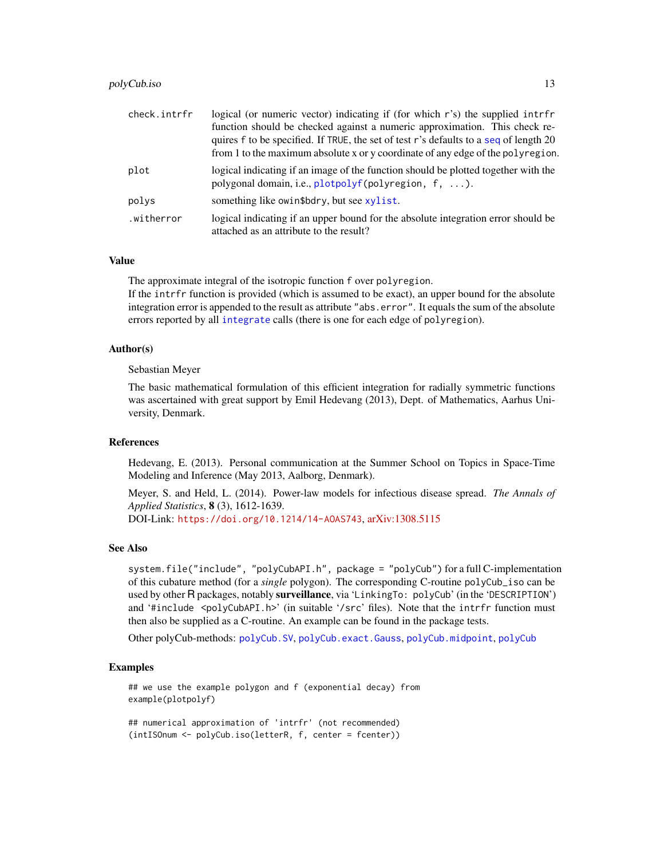#### <span id="page-12-0"></span>polyCub.iso 13

| check.intrfr | logical (or numeric vector) indicating if (for which r's) the supplied intrfr                                                                                            |
|--------------|--------------------------------------------------------------------------------------------------------------------------------------------------------------------------|
|              | function should be checked against a numeric approximation. This check re-                                                                                               |
|              | quires f to be specified. If TRUE, the set of test r's defaults to a seq of length 20<br>from 1 to the maximum absolute x or y coordinate of any edge of the polyregion. |
|              |                                                                                                                                                                          |
| plot         | logical indicating if an image of the function should be plotted together with the<br>polygonal domain, i.e., plotpolyf(polyregion, f, ).                                |
| polys        | something like owin\$bdry, but see xylist.                                                                                                                               |
| .witherror   | logical indicating if an upper bound for the absolute integration error should be<br>attached as an attribute to the result?                                             |

#### Value

The approximate integral of the isotropic function f over polyregion.

If the intrfr function is provided (which is assumed to be exact), an upper bound for the absolute integration error is appended to the result as attribute "abs.error". It equals the sum of the absolute errors reported by all [integrate](#page-0-0) calls (there is one for each edge of polyregion).

#### Author(s)

Sebastian Meyer

The basic mathematical formulation of this efficient integration for radially symmetric functions was ascertained with great support by Emil Hedevang (2013), Dept. of Mathematics, Aarhus University, Denmark.

#### References

Hedevang, E. (2013). Personal communication at the Summer School on Topics in Space-Time Modeling and Inference (May 2013, Aalborg, Denmark).

Meyer, S. and Held, L. (2014). Power-law models for infectious disease spread. *The Annals of Applied Statistics*, 8 (3), 1612-1639. DOI-Link: <https://doi.org/10.1214/14-AOAS743>, [arXiv:1308.5115](https://arxiv.org/abs/1308.5115)

#### See Also

system.file("include", "polyCubAPI.h", package = "polyCub") for a full C-implementation of this cubature method (for a *single* polygon). The corresponding C-routine polyCub\_iso can be used by other R packages, notably surveillance, via 'LinkingTo: polyCub' (in the 'DESCRIPTION') and '#include <polyCubAPI.h>' (in suitable '/src' files). Note that the intrfr function must then also be supplied as a C-routine. An example can be found in the package tests.

Other polyCub-methods: [polyCub.SV](#page-15-1), [polyCub.exact.Gauss](#page-9-1), [polyCub.midpoint](#page-13-1), [polyCub](#page-8-1)

#### Examples

## we use the example polygon and f (exponential decay) from example(plotpolyf)

## numerical approximation of 'intrfr' (not recommended) (intISOnum <- polyCub.iso(letterR, f, center = fcenter))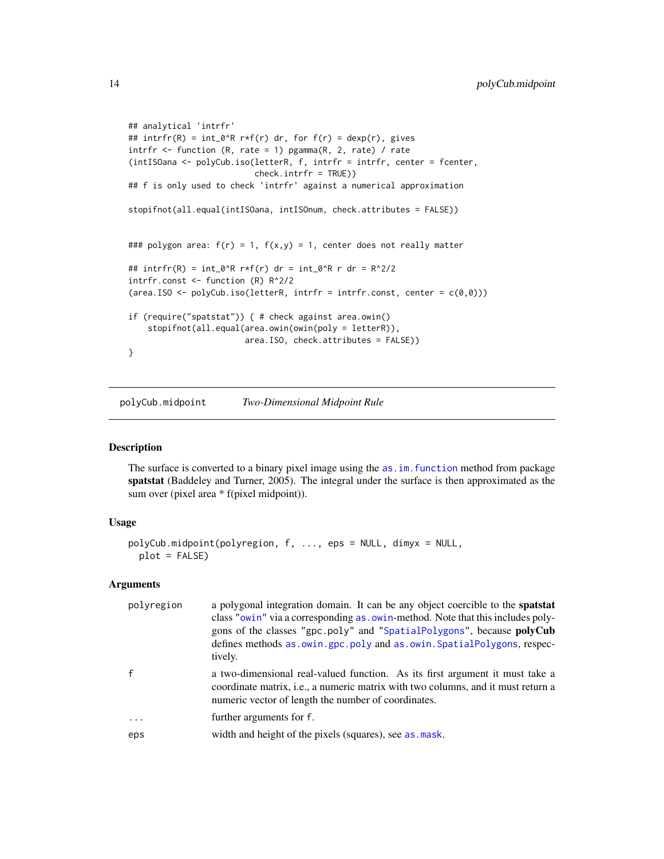```
## analytical 'intrfr'
## intrfr(R) = int_0^R r*f(r) dr, for f(r) = dexp(r), gives
intrfr \leq function (R, rate = 1) pgamma(R, 2, rate) / rate
(intISOana <- polyCub.iso(letterR, f, intrfr = intrfr, center = fcenter,
                          check.intrfr = TRUE))
## f is only used to check 'intrfr' against a numerical approximation
stopifnot(all.equal(intISOana, intISOnum, check.attributes = FALSE))
### polygon area: f(r) = 1, f(x,y) = 1, center does not really matter
## intrfr(R) = int_0^R r*f(r) dr = int_0^R r dr = R^2/2
intrfr.const <- function (R) R^2/2
(area.ISO \leq polyCub.iso(letterR, intrfr = intrfr.const, center = c(0,0)))
if (require("spatstat")) { # check against area.owin()
    stopifnot(all.equal(area.owin(owin(poly = letterR)),
                        area.ISO, check.attributes = FALSE))
}
```
<span id="page-13-1"></span>polyCub.midpoint *Two-Dimensional Midpoint Rule*

#### Description

The surface is converted to a binary pixel image using the as. im. function method from package spatstat (Baddeley and Turner, 2005). The integral under the surface is then approximated as the sum over (pixel area \* f(pixel midpoint)).

#### Usage

```
polyCub.midpoint(polyregion, f, ..., eps = NULL, dimyx = NULL,
 plot = FALSE)
```

| polyregion | a polygonal integration domain. It can be any object coercible to the spatstat<br>class "owin" via a corresponding as . owin-method. Note that this includes poly-<br>gons of the classes "gpc.poly" and "SpatialPolygons", because polyCub<br>defines methods as . owin.gpc.poly and as . owin. SpatialPolygons, respec-<br>tively. |
|------------|--------------------------------------------------------------------------------------------------------------------------------------------------------------------------------------------------------------------------------------------------------------------------------------------------------------------------------------|
|            | a two-dimensional real-valued function. As its first argument it must take a<br>coordinate matrix, <i>i.e.</i> , a numeric matrix with two columns, and it must return a<br>numeric vector of length the number of coordinates.                                                                                                      |
| .          | further arguments for f.                                                                                                                                                                                                                                                                                                             |
| eps        | width and height of the pixels (squares), see as mask.                                                                                                                                                                                                                                                                               |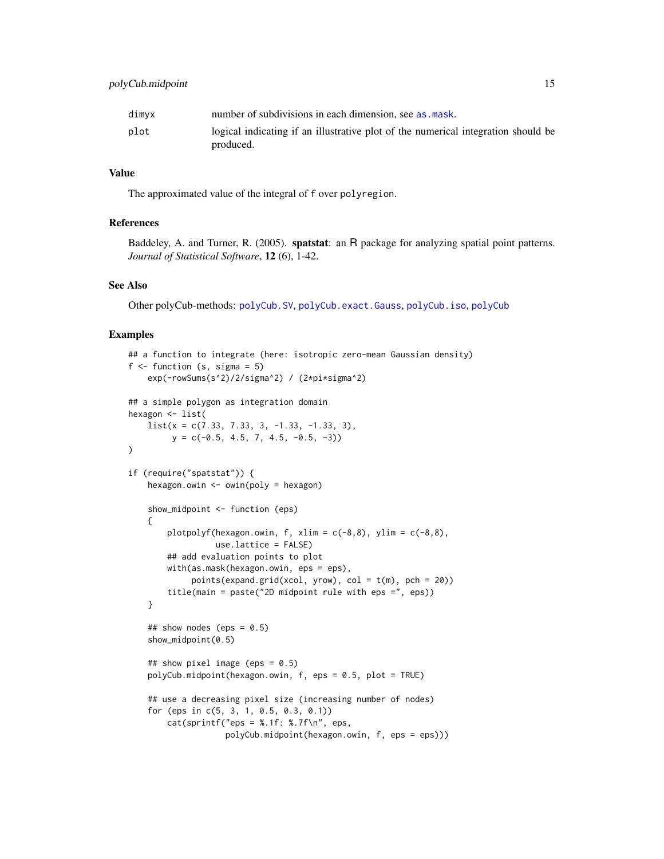<span id="page-14-0"></span>

| dimyx | number of subdivisions in each dimension, see as mask.                            |
|-------|-----------------------------------------------------------------------------------|
| plot  | logical indicating if an illustrative plot of the numerical integration should be |
|       | produced.                                                                         |

The approximated value of the integral of f over polyregion.

#### References

Baddeley, A. and Turner, R. (2005). spatstat: an R package for analyzing spatial point patterns. *Journal of Statistical Software*, 12 (6), 1-42.

### See Also

Other polyCub-methods: [polyCub.SV](#page-15-1), [polyCub.exact.Gauss](#page-9-1), [polyCub.iso](#page-11-1), [polyCub](#page-8-1)

#### Examples

```
## a function to integrate (here: isotropic zero-mean Gaussian density)
f \leftarrow function (s, sigma = 5)
    exp(-rowSums(s^2)/2/sigma^2) / (2*pi*sigma^2)
## a simple polygon as integration domain
hexagon <- list(
   list(x = c(7.33, 7.33, 3, -1.33, -1.33, 3),y = c(-0.5, 4.5, 7, 4.5, -0.5, -3))
if (require("spatstat")) {
    hexagon.owin <- owin(poly = hexagon)
    show_midpoint <- function (eps)
    {
        plotpolyf(hexagon.owin, f, xlim = c(-8,8), ylim = c(-8,8),
                  use.lattice = FALSE)
        ## add evaluation points to plot
        with(as.mask(hexagon.owin, eps = eps),
             points(expand.grid(xcol, yrow), col = t(m), pch = 20))
        title(main = paste("2D midpoint rule with eps =", eps))
    }
    ## show nodes (eps = 0.5)
    show_midpoint(0.5)
    ## show pixel image (eps = 0.5)
    polyCub.midpoint(hexagon.owin, f, eps = 0.5, plot = TRUE)
    ## use a decreasing pixel size (increasing number of nodes)
    for (eps in c(5, 3, 1, 0.5, 0.3, 0.1))
        cat(sprint(f'eps = %.1f: %.7f\n), eps,polyCub.midpoint(hexagon.owin, f, eps = eps)))
```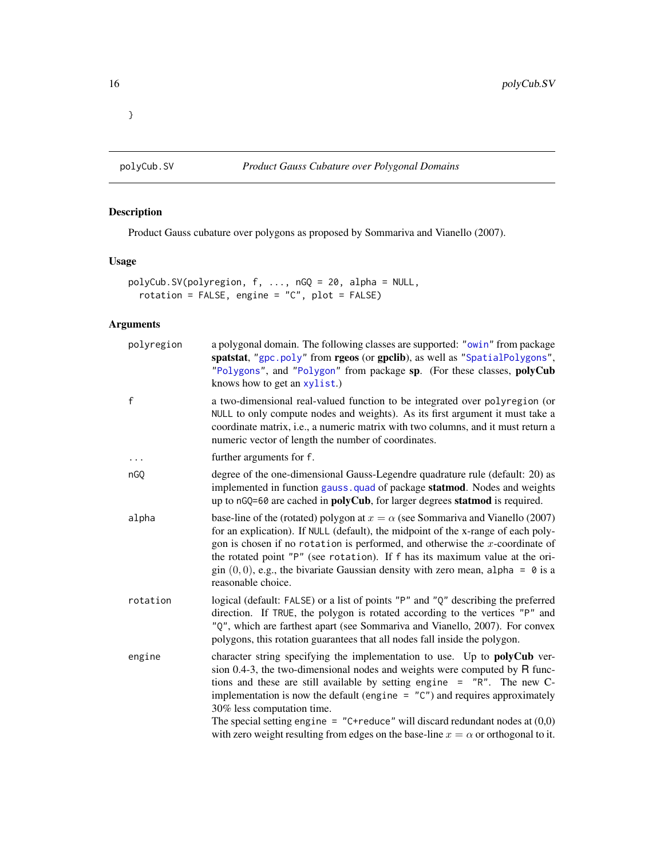<span id="page-15-0"></span>}

<span id="page-15-1"></span>

### Description

Product Gauss cubature over polygons as proposed by Sommariva and Vianello (2007).

#### Usage

```
polyCub.SV(polyregion, f, ..., nGQ = 20, alpha = NULL,
  rotation = FALSE, engine = "C", plot = FALSE)
```

| polyregion   | a polygonal domain. The following classes are supported: "owin" from package<br>spatstat, "gpc.poly" from rgeos (or gpclib), as well as "SpatialPolygons",<br>"Polygons", and "Polygon" from package sp. (For these classes, polyCub<br>knows how to get an xylist.)                                                                                                                                                                                                                                                                           |
|--------------|------------------------------------------------------------------------------------------------------------------------------------------------------------------------------------------------------------------------------------------------------------------------------------------------------------------------------------------------------------------------------------------------------------------------------------------------------------------------------------------------------------------------------------------------|
| $\mathsf{f}$ | a two-dimensional real-valued function to be integrated over polyregion (or<br>NULL to only compute nodes and weights). As its first argument it must take a<br>coordinate matrix, i.e., a numeric matrix with two columns, and it must return a<br>numeric vector of length the number of coordinates.                                                                                                                                                                                                                                        |
| .            | further arguments for f.                                                                                                                                                                                                                                                                                                                                                                                                                                                                                                                       |
| nGQ          | degree of the one-dimensional Gauss-Legendre quadrature rule (default: 20) as<br>implemented in function gauss. quad of package statmod. Nodes and weights<br>up to nGQ=60 are cached in <b>polyCub</b> , for larger degrees <b>statmod</b> is required.                                                                                                                                                                                                                                                                                       |
| alpha        | base-line of the (rotated) polygon at $x = \alpha$ (see Sommariva and Vianello (2007)<br>for an explication). If NULL (default), the midpoint of the x-range of each poly-<br>gon is chosen if no rotation is performed, and otherwise the $x$ -coordinate of<br>the rotated point "P" (see rotation). If f has its maximum value at the ori-<br>gin $(0,0)$ , e.g., the bivariate Gaussian density with zero mean, alpha = 0 is a<br>reasonable choice.                                                                                       |
| rotation     | logical (default: FALSE) or a list of points "P" and "Q" describing the preferred<br>direction. If TRUE, the polygon is rotated according to the vertices "P" and<br>"Q", which are farthest apart (see Sommariva and Vianello, 2007). For convex<br>polygons, this rotation guarantees that all nodes fall inside the polygon.                                                                                                                                                                                                                |
| engine       | character string specifying the implementation to use. Up to <b>polyCub</b> ver-<br>sion $0.4-3$ , the two-dimensional nodes and weights were computed by R func-<br>tions and these are still available by setting engine = "R". The new C-<br>implementation is now the default (engine $=$ " $C$ ") and requires approximately<br>30% less computation time.<br>The special setting engine = "C+reduce" will discard redundant nodes at $(0,0)$<br>with zero weight resulting from edges on the base-line $x = \alpha$ or orthogonal to it. |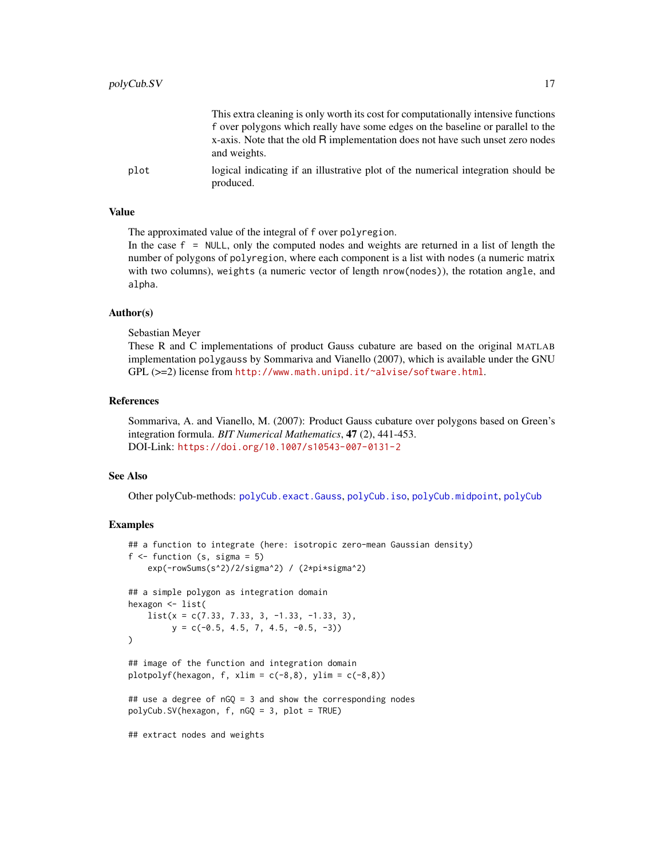<span id="page-16-0"></span>

|      | This extra cleaning is only worth its cost for computationally intensive functions             |
|------|------------------------------------------------------------------------------------------------|
|      | f over polygons which really have some edges on the baseline or parallel to the                |
|      | x-axis. Note that the old R implementation does not have such unset zero nodes<br>and weights. |
| plot | logical indicating if an illustrative plot of the numerical integration should be<br>produced. |

The approximated value of the integral of f over polyregion.

In the case  $f = NULL$ , only the computed nodes and weights are returned in a list of length the number of polygons of polyregion, where each component is a list with nodes (a numeric matrix with two columns), weights (a numeric vector of length nrow(nodes)), the rotation angle, and alpha.

#### Author(s)

Sebastian Meyer

These R and C implementations of product Gauss cubature are based on the original MATLAB implementation polygauss by Sommariva and Vianello (2007), which is available under the GNU GPL (>=2) license from <http://www.math.unipd.it/~alvise/software.html>.

#### References

Sommariva, A. and Vianello, M. (2007): Product Gauss cubature over polygons based on Green's integration formula. *BIT Numerical Mathematics*, 47 (2), 441-453. DOI-Link: <https://doi.org/10.1007/s10543-007-0131-2>

#### See Also

Other polyCub-methods: [polyCub.exact.Gauss](#page-9-1), [polyCub.iso](#page-11-1), [polyCub.midpoint](#page-13-1), [polyCub](#page-8-1)

#### Examples

```
## a function to integrate (here: isotropic zero-mean Gaussian density)
f \leftarrow function (s, sigma = 5)
    exp(-rowSums(s^2)/2/sigma^2) / (2*pi*sigma^2)
## a simple polygon as integration domain
hexagon <- list(
    list(x = c(7.33, 7.33, 3, -1.33, -1.33, 3),y = c(-0.5, 4.5, 7, 4.5, -0.5, -3))\mathcal{L}## image of the function and integration domain
plotpolyf(hexagon, f, xlim = c(-8,8), ylim = c(-8,8))
## use a degree of nGQ = 3 and show the corresponding nodes
polyCub.SV(hexagon, f, nGQ = 3, plot = TRUE)
## extract nodes and weights
```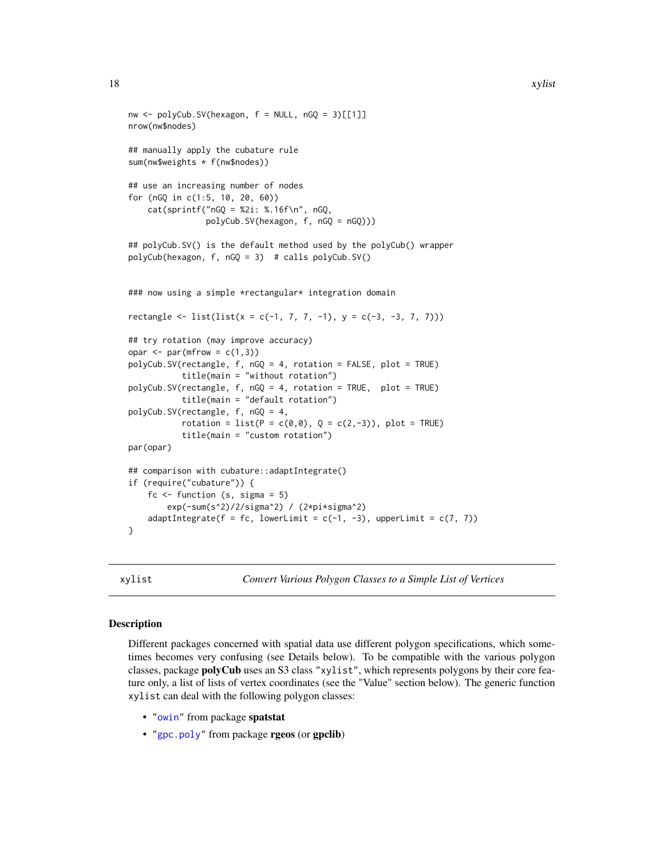```
nw \leq polyCub.SV(hexagon, f = NULL, nGQ = 3)[[1]]nrow(nw$nodes)
## manually apply the cubature rule
sum(nw$weights * f(nw$nodes))
## use an increasing number of nodes
for (nGQ in c(1:5, 10, 20, 60))
     cat(sprintf("nGQ = %2i: %16f\n", nGQ, %16f\n", nGQ, %16f\n", nGQ, %16f\n", nGQ, %16f\n", nGQ, %16f\n", nGQ, %16f\n", nGQ, %16f\n", nGQ, %16f\n", nGQ, %16f\n", nGQ, %16f\n", nGQ, %16f\n", nGQ, %16f\n", nGQ, %16f\n", nGQ, %16f\n", nGQ, %16f\n", nGQ, %16f\n", nGQ, %16f\n", nGQ, %16f\n", nGQ, %16f\n", nGQ, %16f\n", npolyCub.SV(hexagon, f, nGQ = nGQ)))
## polyCub.SV() is the default method used by the polyCub() wrapper
polyCub(hexagon, f, nGQ = 3) # calls polyCub.SV()
### now using a simple *rectangular* integration domain
rectangle <- list(list(x = c(-1, 7, 7, -1), y = c(-3, -3, 7, 7)))
## try rotation (may improve accuracy)
opar \leq par(mfrow = c(1,3))
polyCub.SV(rectangle, f, nGQ = 4, rotation = FALSE, plot = TRUE)
             title(main = "without rotation")
polyCub.SV(rectangle, f, nGQ = 4, rotation = TRUE, plot = TRUE)
             title(main = "default rotation")
polyCub.SV(rectangle, f, nGQ = 4,
             rotation = list(P = c(0, 0), Q = c(2, -3)), plot = TRUE)
              title(main = "custom rotation")
par(opar)
## comparison with cubature::adaptIntegrate()
if (require("cubature")) {
    fc \le function (s, sigma = 5)
         exp(-sum(s^2)/2/sigma^2) / (2*pi*sigma^2)
    adaptIntegrate(f = fc, lowerLimit = c(-1, -3), upperLimit = c(7, 7))}
```
<span id="page-17-1"></span>xylist *Convert Various Polygon Classes to a Simple List of Vertices*

#### **Description**

Different packages concerned with spatial data use different polygon specifications, which sometimes becomes very confusing (see Details below). To be compatible with the various polygon classes, package polyCub uses an S3 class "xylist", which represents polygons by their core feature only, a list of lists of vertex coordinates (see the "Value" section below). The generic function xylist can deal with the following polygon classes:

- ["owin"](#page-0-0) from package spatstat
- ["gpc.poly"](#page-0-0) from package rgeos (or gpclib)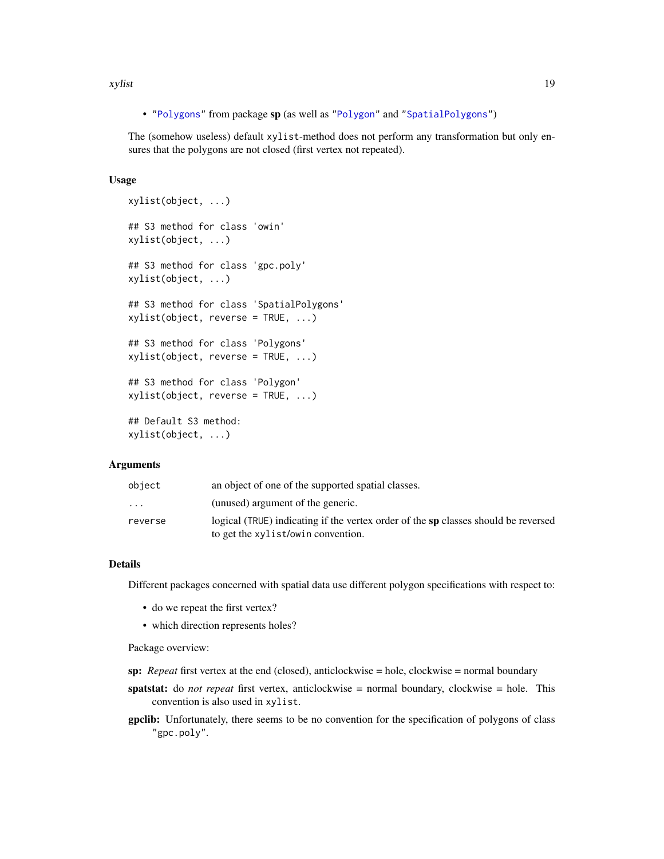<span id="page-18-0"></span>xylist 19

• ["Polygons"](#page-0-0) from package sp (as well as ["Polygon"](#page-0-0) and ["SpatialPolygons"](#page-0-0))

The (somehow useless) default xylist-method does not perform any transformation but only ensures that the polygons are not closed (first vertex not repeated).

#### Usage

```
xylist(object, ...)
## S3 method for class 'owin'
xylist(object, ...)
## S3 method for class 'gpc.poly'
xylist(object, ...)
## S3 method for class 'SpatialPolygons'
xylist(object, reverse = TRUE, ...)
## S3 method for class 'Polygons'
xylist(object, reverse = TRUE, ...)
## S3 method for class 'Polygon'
xylist(object, reverse = TRUE, ...)## Default S3 method:
xylist(object, ...)
```
#### Arguments

| object                  | an object of one of the supported spatial classes.                                 |
|-------------------------|------------------------------------------------------------------------------------|
| $\cdot$ $\cdot$ $\cdot$ | (unused) argument of the generic.                                                  |
| reverse                 | logical (TRUE) indicating if the vertex order of the sp classes should be reversed |
|                         | to get the xylist/owin convention.                                                 |

#### Details

Different packages concerned with spatial data use different polygon specifications with respect to:

- do we repeat the first vertex?
- which direction represents holes?

Package overview:

- sp: *Repeat* first vertex at the end (closed), anticlockwise = hole, clockwise = normal boundary
- spatstat: do *not repeat* first vertex, anticlockwise = normal boundary, clockwise = hole. This convention is also used in xylist.
- gpclib: Unfortunately, there seems to be no convention for the specification of polygons of class "gpc.poly".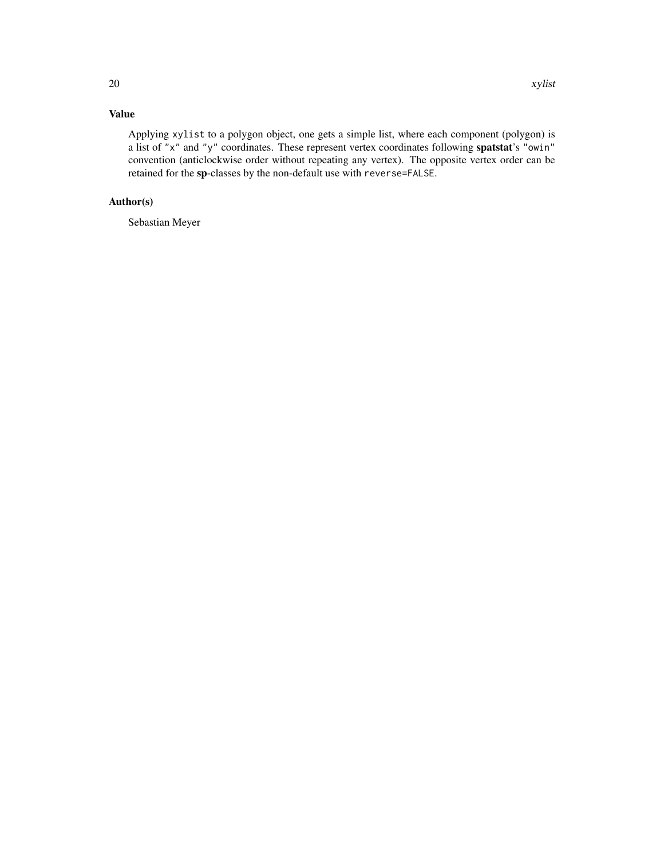Applying xylist to a polygon object, one gets a simple list, where each component (polygon) is a list of "x" and "y" coordinates. These represent vertex coordinates following spatstat's "owin" convention (anticlockwise order without repeating any vertex). The opposite vertex order can be retained for the sp-classes by the non-default use with reverse=FALSE.

## Author(s)

Sebastian Meyer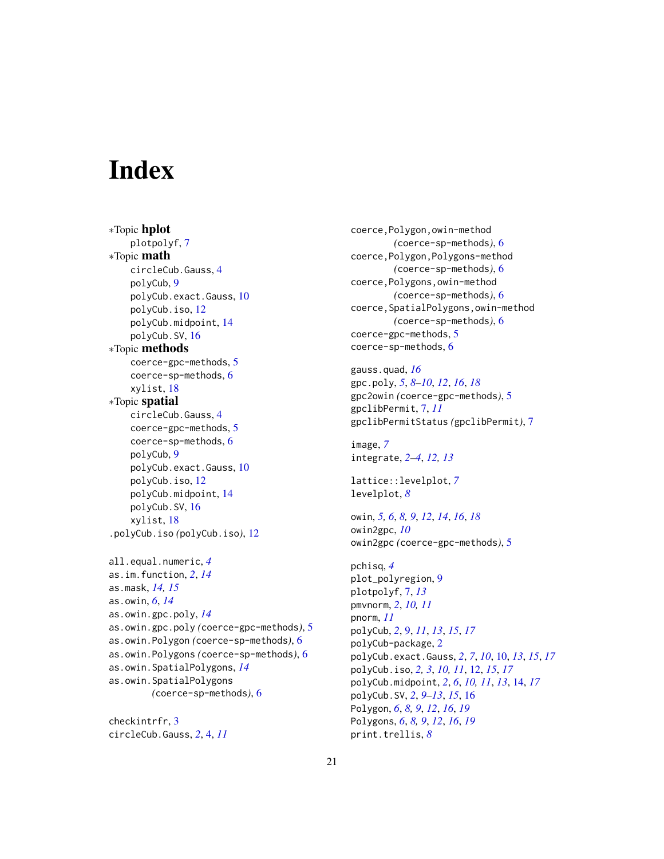# <span id="page-20-0"></span>**Index**

∗Topic hplot plotpolyf, [7](#page-6-0) ∗Topic math circleCub.Gauss, [4](#page-3-0) polyCub, [9](#page-8-0) polyCub.exact.Gauss, [10](#page-9-0) polyCub.iso, [12](#page-11-0) polyCub.midpoint, [14](#page-13-0) polyCub.SV, [16](#page-15-0) ∗Topic methods coerce-gpc-methods, [5](#page-4-0) coerce-sp-methods, [6](#page-5-0) xylist, [18](#page-17-0) ∗Topic spatial circleCub.Gauss, [4](#page-3-0) coerce-gpc-methods, [5](#page-4-0) coerce-sp-methods, [6](#page-5-0) polyCub, [9](#page-8-0) polyCub.exact.Gauss, [10](#page-9-0) polyCub.iso, [12](#page-11-0) polyCub.midpoint, [14](#page-13-0) polyCub.SV, [16](#page-15-0) xylist, [18](#page-17-0) .polyCub.iso *(*polyCub.iso*)*, [12](#page-11-0) all.equal.numeric, *[4](#page-3-0)* as.im.function, *[2](#page-1-0)*, *[14](#page-13-0)* as.mask, *[14,](#page-13-0) [15](#page-14-0)* as.owin, *[6](#page-5-0)*, *[14](#page-13-0)* as.owin.gpc.poly, *[14](#page-13-0)* as.owin.gpc.poly *(*coerce-gpc-methods*)*, [5](#page-4-0) as.owin.Polygon *(*coerce-sp-methods*)*, [6](#page-5-0) as.owin.Polygons *(*coerce-sp-methods*)*, [6](#page-5-0) as.owin.SpatialPolygons, *[14](#page-13-0)* as.owin.SpatialPolygons *(*coerce-sp-methods*)*, [6](#page-5-0)

checkintrfr, [3](#page-2-0) circleCub.Gauss, *[2](#page-1-0)*, [4,](#page-3-0) *[11](#page-10-0)* coerce,Polygon,owin-method *(*coerce-sp-methods*)*, [6](#page-5-0) coerce,Polygon,Polygons-method *(*coerce-sp-methods*)*, [6](#page-5-0) coerce,Polygons,owin-method *(*coerce-sp-methods*)*, [6](#page-5-0) coerce,SpatialPolygons,owin-method *(*coerce-sp-methods*)*, [6](#page-5-0) coerce-gpc-methods, [5](#page-4-0) coerce-sp-methods, [6](#page-5-0)

gauss.quad, *[16](#page-15-0)* gpc.poly, *[5](#page-4-0)*, *[8](#page-7-0)[–10](#page-9-0)*, *[12](#page-11-0)*, *[16](#page-15-0)*, *[18](#page-17-0)* gpc2owin *(*coerce-gpc-methods*)*, [5](#page-4-0) gpclibPermit, [7,](#page-6-0) *[11](#page-10-0)* gpclibPermitStatus *(*gpclibPermit*)*, [7](#page-6-0)

image, *[7](#page-6-0)* integrate, *[2](#page-1-0)[–4](#page-3-0)*, *[12,](#page-11-0) [13](#page-12-0)*

lattice::levelplot, *[7](#page-6-0)* levelplot, *[8](#page-7-0)*

owin, *[5,](#page-4-0) [6](#page-5-0)*, *[8,](#page-7-0) [9](#page-8-0)*, *[12](#page-11-0)*, *[14](#page-13-0)*, *[16](#page-15-0)*, *[18](#page-17-0)* owin2gpc, *[10](#page-9-0)* owin2gpc *(*coerce-gpc-methods*)*, [5](#page-4-0)

pchisq, *[4](#page-3-0)* plot\_polyregion, [9](#page-8-0) plotpolyf, [7,](#page-6-0) *[13](#page-12-0)* pmvnorm, *[2](#page-1-0)*, *[10,](#page-9-0) [11](#page-10-0)* pnorm, *[11](#page-10-0)* polyCub, *[2](#page-1-0)*, [9,](#page-8-0) *[11](#page-10-0)*, *[13](#page-12-0)*, *[15](#page-14-0)*, *[17](#page-16-0)* polyCub-package, [2](#page-1-0) polyCub.exact.Gauss, *[2](#page-1-0)*, *[7](#page-6-0)*, *[10](#page-9-0)*, [10,](#page-9-0) *[13](#page-12-0)*, *[15](#page-14-0)*, *[17](#page-16-0)* polyCub.iso, *[2,](#page-1-0) [3](#page-2-0)*, *[10,](#page-9-0) [11](#page-10-0)*, [12,](#page-11-0) *[15](#page-14-0)*, *[17](#page-16-0)* polyCub.midpoint, *[2](#page-1-0)*, *[6](#page-5-0)*, *[10,](#page-9-0) [11](#page-10-0)*, *[13](#page-12-0)*, [14,](#page-13-0) *[17](#page-16-0)* polyCub.SV, *[2](#page-1-0)*, *[9](#page-8-0)[–13](#page-12-0)*, *[15](#page-14-0)*, [16](#page-15-0) Polygon, *[6](#page-5-0)*, *[8,](#page-7-0) [9](#page-8-0)*, *[12](#page-11-0)*, *[16](#page-15-0)*, *[19](#page-18-0)* Polygons, *[6](#page-5-0)*, *[8,](#page-7-0) [9](#page-8-0)*, *[12](#page-11-0)*, *[16](#page-15-0)*, *[19](#page-18-0)* print.trellis, *[8](#page-7-0)*